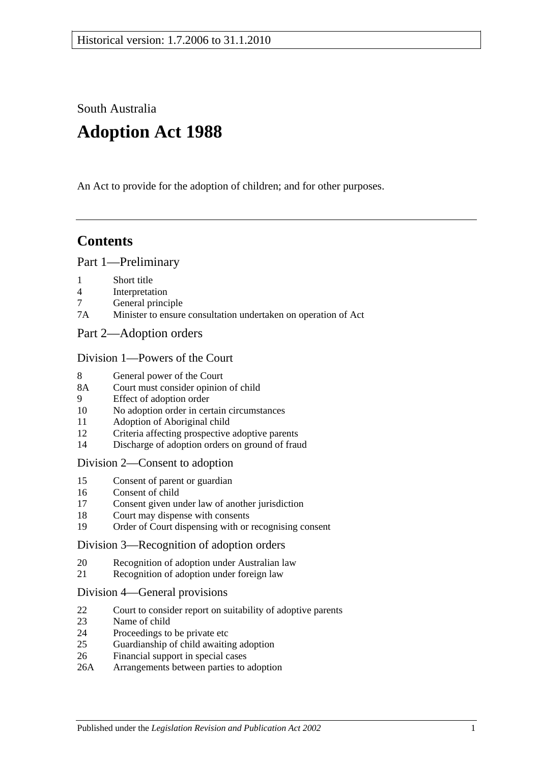South Australia

# **Adoption Act 1988**

An Act to provide for the adoption of children; and for other purposes.

# **Contents**

#### [Part 1—Preliminary](#page-1-0)

- 1 [Short title](#page-1-1)
- 4 [Interpretation](#page-1-2)
- 7 [General principle](#page-3-0)
- 7A [Minister to ensure consultation undertaken on operation of Act](#page-3-1)
- [Part 2—Adoption orders](#page-3-2)

#### [Division 1—Powers of the Court](#page-3-3)

- 8 [General power of the Court](#page-3-4)
- 8A [Court must consider opinion of child](#page-3-5)
- 9 [Effect of adoption order](#page-4-0)
- 10 [No adoption order in certain circumstances](#page-4-1)
- 11 [Adoption of Aboriginal child](#page-4-2)
- 12 [Criteria affecting prospective adoptive parents](#page-5-0)
- 14 [Discharge of adoption orders on ground of fraud](#page-5-1)

#### [Division 2—Consent to adoption](#page-5-2)

- 15 [Consent of parent or guardian](#page-5-3)
- 16 [Consent of child](#page-6-0)
- 17 [Consent given under law of another jurisdiction](#page-7-0)
- 18 [Court may dispense with consents](#page-7-1)
- 19 [Order of Court dispensing with or recognising consent](#page-7-2)

#### [Division 3—Recognition of adoption orders](#page-8-0)

- 20 [Recognition of adoption under Australian law](#page-8-1)
- 21 [Recognition of adoption under foreign law](#page-8-2)

#### [Division 4—General provisions](#page-8-3)

- 22 [Court to consider report on suitability of adoptive parents](#page-8-4)
- 23 [Name of child](#page-9-0)
- 24 [Proceedings to be private etc](#page-9-1)
- 25 [Guardianship of child awaiting adoption](#page-9-2)
- 26 [Financial support in special cases](#page-10-0)
- 26A [Arrangements between parties to adoption](#page-10-1)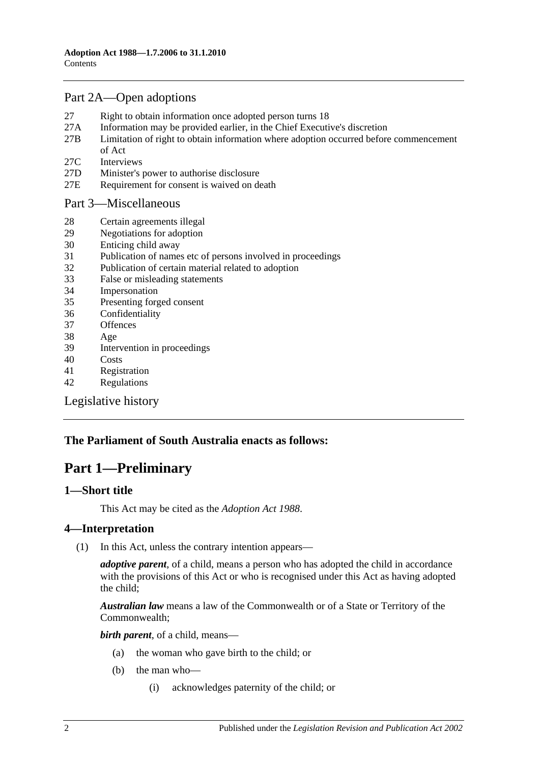# [Part 2A—Open adoptions](#page-11-0)

- 27 [Right to obtain information once adopted person turns 18](#page-11-1)
- 27A [Information may be provided earlier, in the Chief Executive's discretion](#page-12-0)
- 27B [Limitation of right to obtain information where adoption occurred before commencement](#page-12-1)  [of Act](#page-12-1)
- 27C [Interviews](#page-13-0)
- 27D [Minister's power to authorise disclosure](#page-13-1)
- 27E [Requirement for consent is waived on death](#page-13-2)

#### [Part 3—Miscellaneous](#page-13-3)

- 28 [Certain agreements illegal](#page-13-4)
- 29 [Negotiations for adoption](#page-13-5)
- 30 [Enticing child away](#page-14-0)
- 31 [Publication of names etc of persons involved in proceedings](#page-14-1)
- 32 [Publication of certain material related to adoption](#page-14-2)
- 33 [False or misleading statements](#page-15-0)
- 34 [Impersonation](#page-15-1)
- 35 [Presenting forged consent](#page-15-2)
- 36 [Confidentiality](#page-15-3)
- 37 [Offences](#page-15-4)
- 38 [Age](#page-15-5)
- 39 [Intervention in proceedings](#page-15-6)
- 40 [Costs](#page-16-0)
- 41 [Registration](#page-16-1)
- 42 [Regulations](#page-16-2)

[Legislative history](#page-18-0)

# <span id="page-1-0"></span>**The Parliament of South Australia enacts as follows:**

# **Part 1—Preliminary**

#### <span id="page-1-1"></span>**1—Short title**

This Act may be cited as the *Adoption Act 1988*.

## <span id="page-1-2"></span>**4—Interpretation**

(1) In this Act, unless the contrary intention appears—

*adoptive parent*, of a child, means a person who has adopted the child in accordance with the provisions of this Act or who is recognised under this Act as having adopted the child;

*Australian law* means a law of the Commonwealth or of a State or Territory of the Commonwealth;

*birth parent*, of a child, means—

- (a) the woman who gave birth to the child; or
- (b) the man who—
	- (i) acknowledges paternity of the child; or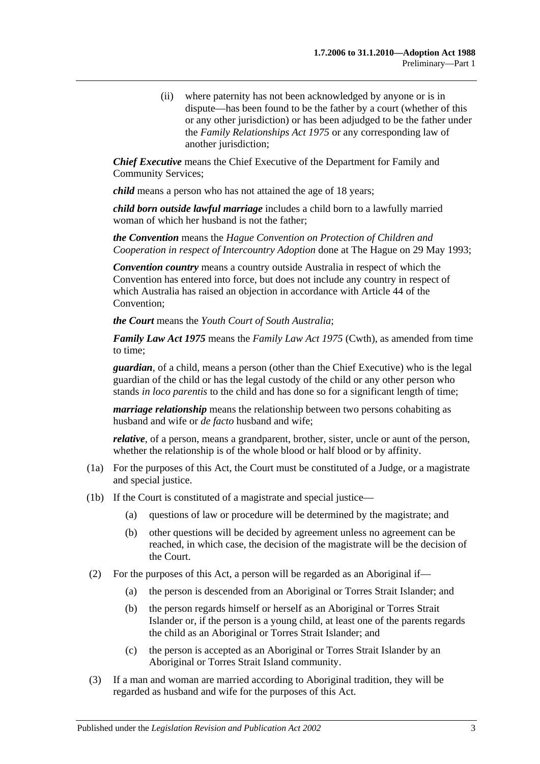(ii) where paternity has not been acknowledged by anyone or is in dispute—has been found to be the father by a court (whether of this or any other jurisdiction) or has been adjudged to be the father under the *[Family Relationships Act](http://www.legislation.sa.gov.au/index.aspx?action=legref&type=act&legtitle=Family%20Relationships%20Act%201975) 1975* or any corresponding law of another jurisdiction;

*Chief Executive* means the Chief Executive of the Department for Family and Community Services;

*child* means a person who has not attained the age of 18 years;

*child born outside lawful marriage* includes a child born to a lawfully married woman of which her husband is not the father;

*the Convention* means the *Hague Convention on Protection of Children and Cooperation in respect of Intercountry Adoption* done at The Hague on 29 May 1993;

*Convention country* means a country outside Australia in respect of which the Convention has entered into force, but does not include any country in respect of which Australia has raised an objection in accordance with Article 44 of the Convention;

*the Court* means the *Youth Court of South Australia*;

*Family Law Act 1975* means the *Family Law Act 1975* (Cwth), as amended from time to time;

*guardian*, of a child, means a person (other than the Chief Executive) who is the legal guardian of the child or has the legal custody of the child or any other person who stands *in loco parentis* to the child and has done so for a significant length of time;

*marriage relationship* means the relationship between two persons cohabiting as husband and wife or *de facto* husband and wife;

*relative*, of a person, means a grandparent, brother, sister, uncle or aunt of the person, whether the relationship is of the whole blood or half blood or by affinity.

- (1a) For the purposes of this Act, the Court must be constituted of a Judge, or a magistrate and special justice.
- (1b) If the Court is constituted of a magistrate and special justice—
	- (a) questions of law or procedure will be determined by the magistrate; and
	- (b) other questions will be decided by agreement unless no agreement can be reached, in which case, the decision of the magistrate will be the decision of the Court.
- (2) For the purposes of this Act, a person will be regarded as an Aboriginal if—
	- (a) the person is descended from an Aboriginal or Torres Strait Islander; and
	- (b) the person regards himself or herself as an Aboriginal or Torres Strait Islander or, if the person is a young child, at least one of the parents regards the child as an Aboriginal or Torres Strait Islander; and
	- (c) the person is accepted as an Aboriginal or Torres Strait Islander by an Aboriginal or Torres Strait Island community.
- (3) If a man and woman are married according to Aboriginal tradition, they will be regarded as husband and wife for the purposes of this Act.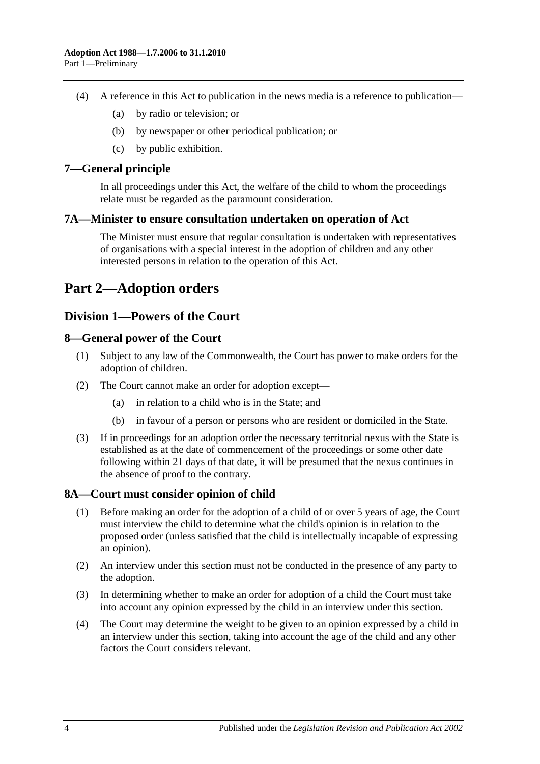- (4) A reference in this Act to publication in the news media is a reference to publication—
	- (a) by radio or television; or
	- (b) by newspaper or other periodical publication; or
	- (c) by public exhibition.

## <span id="page-3-0"></span>**7—General principle**

In all proceedings under this Act, the welfare of the child to whom the proceedings relate must be regarded as the paramount consideration.

#### <span id="page-3-1"></span>**7A—Minister to ensure consultation undertaken on operation of Act**

The Minister must ensure that regular consultation is undertaken with representatives of organisations with a special interest in the adoption of children and any other interested persons in relation to the operation of this Act.

# <span id="page-3-2"></span>**Part 2—Adoption orders**

# <span id="page-3-3"></span>**Division 1—Powers of the Court**

## <span id="page-3-4"></span>**8—General power of the Court**

- (1) Subject to any law of the Commonwealth, the Court has power to make orders for the adoption of children.
- (2) The Court cannot make an order for adoption except—
	- (a) in relation to a child who is in the State; and
	- (b) in favour of a person or persons who are resident or domiciled in the State.
- (3) If in proceedings for an adoption order the necessary territorial nexus with the State is established as at the date of commencement of the proceedings or some other date following within 21 days of that date, it will be presumed that the nexus continues in the absence of proof to the contrary.

## <span id="page-3-5"></span>**8A—Court must consider opinion of child**

- (1) Before making an order for the adoption of a child of or over 5 years of age, the Court must interview the child to determine what the child's opinion is in relation to the proposed order (unless satisfied that the child is intellectually incapable of expressing an opinion).
- (2) An interview under this section must not be conducted in the presence of any party to the adoption.
- (3) In determining whether to make an order for adoption of a child the Court must take into account any opinion expressed by the child in an interview under this section.
- (4) The Court may determine the weight to be given to an opinion expressed by a child in an interview under this section, taking into account the age of the child and any other factors the Court considers relevant.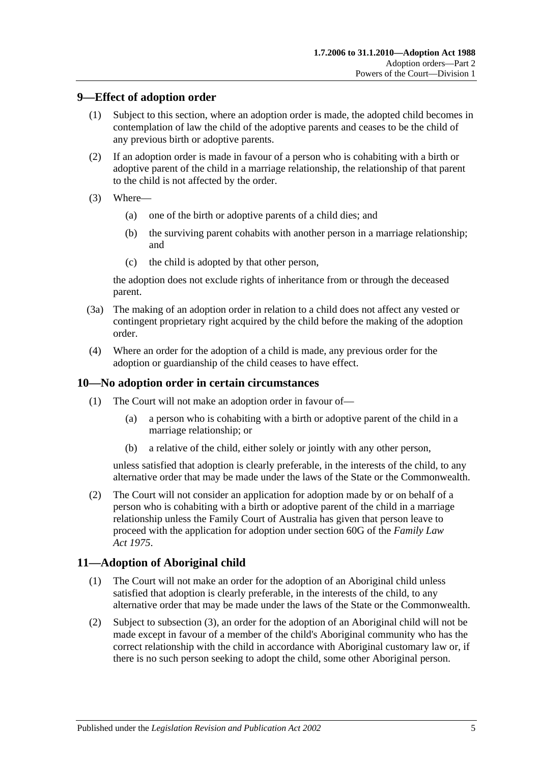# <span id="page-4-0"></span>**9—Effect of adoption order**

- (1) Subject to this section, where an adoption order is made, the adopted child becomes in contemplation of law the child of the adoptive parents and ceases to be the child of any previous birth or adoptive parents.
- (2) If an adoption order is made in favour of a person who is cohabiting with a birth or adoptive parent of the child in a marriage relationship, the relationship of that parent to the child is not affected by the order.
- (3) Where—
	- (a) one of the birth or adoptive parents of a child dies; and
	- (b) the surviving parent cohabits with another person in a marriage relationship; and
	- (c) the child is adopted by that other person,

the adoption does not exclude rights of inheritance from or through the deceased parent.

- (3a) The making of an adoption order in relation to a child does not affect any vested or contingent proprietary right acquired by the child before the making of the adoption order.
- (4) Where an order for the adoption of a child is made, any previous order for the adoption or guardianship of the child ceases to have effect.

## <span id="page-4-1"></span>**10—No adoption order in certain circumstances**

- (1) The Court will not make an adoption order in favour of—
	- (a) a person who is cohabiting with a birth or adoptive parent of the child in a marriage relationship; or
	- (b) a relative of the child, either solely or jointly with any other person,

unless satisfied that adoption is clearly preferable, in the interests of the child, to any alternative order that may be made under the laws of the State or the Commonwealth.

(2) The Court will not consider an application for adoption made by or on behalf of a person who is cohabiting with a birth or adoptive parent of the child in a marriage relationship unless the Family Court of Australia has given that person leave to proceed with the application for adoption under section 60G of the *Family Law Act 1975*.

# <span id="page-4-2"></span>**11—Adoption of Aboriginal child**

- (1) The Court will not make an order for the adoption of an Aboriginal child unless satisfied that adoption is clearly preferable, in the interests of the child, to any alternative order that may be made under the laws of the State or the Commonwealth.
- (2) Subject to [subsection](#page-5-4) (3), an order for the adoption of an Aboriginal child will not be made except in favour of a member of the child's Aboriginal community who has the correct relationship with the child in accordance with Aboriginal customary law or, if there is no such person seeking to adopt the child, some other Aboriginal person.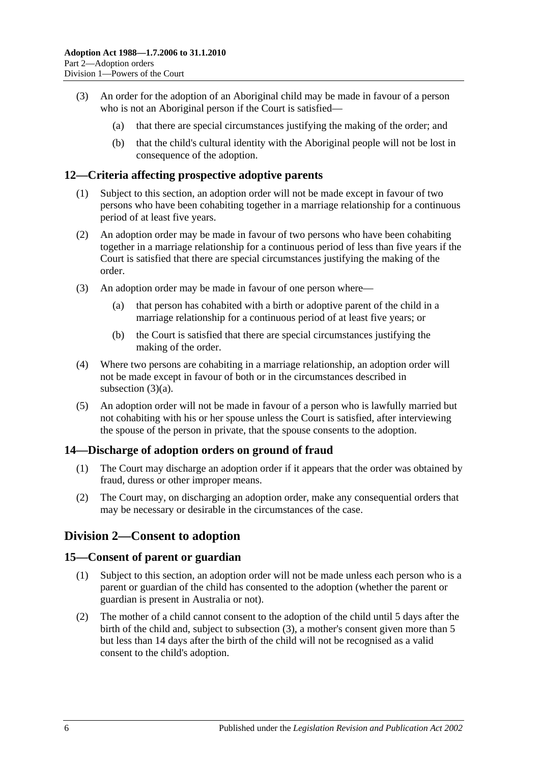- <span id="page-5-4"></span>(3) An order for the adoption of an Aboriginal child may be made in favour of a person who is not an Aboriginal person if the Court is satisfied—
	- (a) that there are special circumstances justifying the making of the order; and
	- (b) that the child's cultural identity with the Aboriginal people will not be lost in consequence of the adoption.

## <span id="page-5-0"></span>**12—Criteria affecting prospective adoptive parents**

- (1) Subject to this section, an adoption order will not be made except in favour of two persons who have been cohabiting together in a marriage relationship for a continuous period of at least five years.
- (2) An adoption order may be made in favour of two persons who have been cohabiting together in a marriage relationship for a continuous period of less than five years if the Court is satisfied that there are special circumstances justifying the making of the order.
- <span id="page-5-5"></span>(3) An adoption order may be made in favour of one person where—
	- (a) that person has cohabited with a birth or adoptive parent of the child in a marriage relationship for a continuous period of at least five years; or
	- (b) the Court is satisfied that there are special circumstances justifying the making of the order.
- (4) Where two persons are cohabiting in a marriage relationship, an adoption order will not be made except in favour of both or in the circumstances described in [subsection](#page-5-5) (3)(a).
- (5) An adoption order will not be made in favour of a person who is lawfully married but not cohabiting with his or her spouse unless the Court is satisfied, after interviewing the spouse of the person in private, that the spouse consents to the adoption.

# <span id="page-5-1"></span>**14—Discharge of adoption orders on ground of fraud**

- (1) The Court may discharge an adoption order if it appears that the order was obtained by fraud, duress or other improper means.
- (2) The Court may, on discharging an adoption order, make any consequential orders that may be necessary or desirable in the circumstances of the case.

# <span id="page-5-2"></span>**Division 2—Consent to adoption**

## <span id="page-5-3"></span>**15—Consent of parent or guardian**

- (1) Subject to this section, an adoption order will not be made unless each person who is a parent or guardian of the child has consented to the adoption (whether the parent or guardian is present in Australia or not).
- (2) The mother of a child cannot consent to the adoption of the child until 5 days after the birth of the child and, subject to [subsection](#page-6-1) (3), a mother's consent given more than 5 but less than 14 days after the birth of the child will not be recognised as a valid consent to the child's adoption.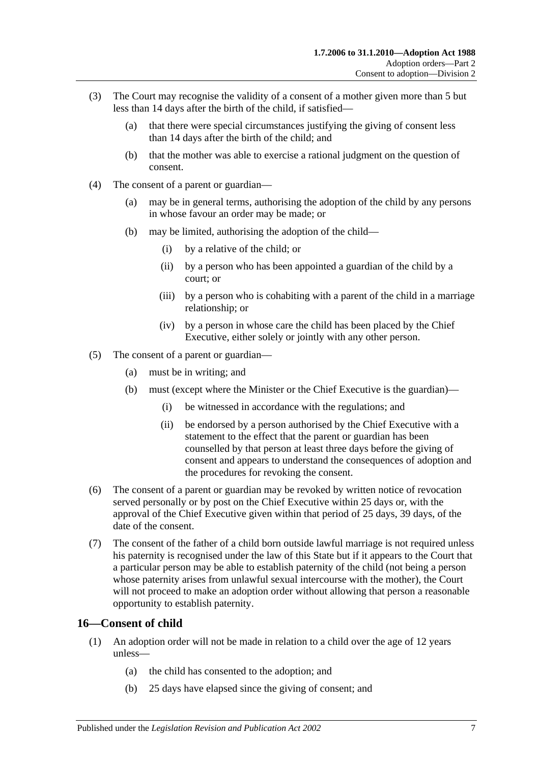- <span id="page-6-1"></span>(3) The Court may recognise the validity of a consent of a mother given more than 5 but less than 14 days after the birth of the child, if satisfied—
	- (a) that there were special circumstances justifying the giving of consent less than 14 days after the birth of the child; and
	- (b) that the mother was able to exercise a rational judgment on the question of consent.
- (4) The consent of a parent or guardian—
	- (a) may be in general terms, authorising the adoption of the child by any persons in whose favour an order may be made; or
	- (b) may be limited, authorising the adoption of the child—
		- (i) by a relative of the child; or
		- (ii) by a person who has been appointed a guardian of the child by a court; or
		- (iii) by a person who is cohabiting with a parent of the child in a marriage relationship; or
		- (iv) by a person in whose care the child has been placed by the Chief Executive, either solely or jointly with any other person.
- (5) The consent of a parent or guardian—
	- (a) must be in writing; and
	- (b) must (except where the Minister or the Chief Executive is the guardian)—
		- (i) be witnessed in accordance with the regulations; and
		- (ii) be endorsed by a person authorised by the Chief Executive with a statement to the effect that the parent or guardian has been counselled by that person at least three days before the giving of consent and appears to understand the consequences of adoption and the procedures for revoking the consent.
- (6) The consent of a parent or guardian may be revoked by written notice of revocation served personally or by post on the Chief Executive within 25 days or, with the approval of the Chief Executive given within that period of 25 days, 39 days, of the date of the consent.
- (7) The consent of the father of a child born outside lawful marriage is not required unless his paternity is recognised under the law of this State but if it appears to the Court that a particular person may be able to establish paternity of the child (not being a person whose paternity arises from unlawful sexual intercourse with the mother), the Court will not proceed to make an adoption order without allowing that person a reasonable opportunity to establish paternity.

## <span id="page-6-0"></span>**16—Consent of child**

- (1) An adoption order will not be made in relation to a child over the age of 12 years unless—
	- (a) the child has consented to the adoption; and
	- (b) 25 days have elapsed since the giving of consent; and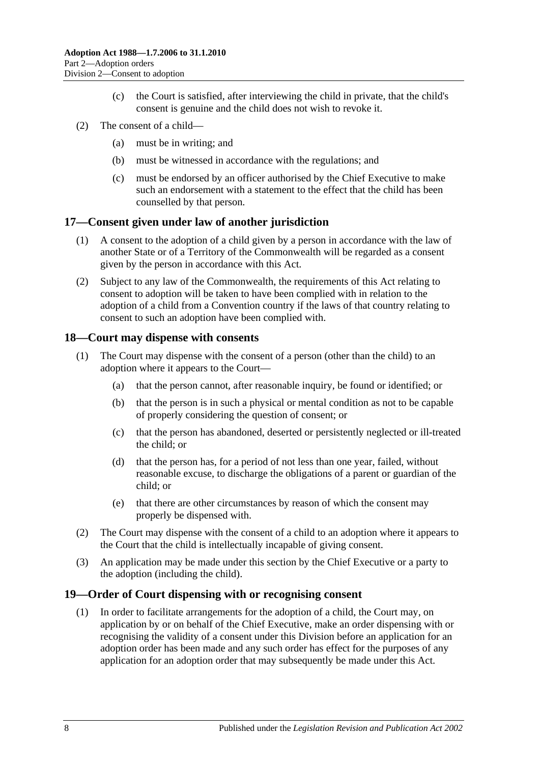- (c) the Court is satisfied, after interviewing the child in private, that the child's consent is genuine and the child does not wish to revoke it.
- (2) The consent of a child—
	- (a) must be in writing; and
	- (b) must be witnessed in accordance with the regulations; and
	- (c) must be endorsed by an officer authorised by the Chief Executive to make such an endorsement with a statement to the effect that the child has been counselled by that person.

#### <span id="page-7-0"></span>**17—Consent given under law of another jurisdiction**

- (1) A consent to the adoption of a child given by a person in accordance with the law of another State or of a Territory of the Commonwealth will be regarded as a consent given by the person in accordance with this Act.
- (2) Subject to any law of the Commonwealth, the requirements of this Act relating to consent to adoption will be taken to have been complied with in relation to the adoption of a child from a Convention country if the laws of that country relating to consent to such an adoption have been complied with.

#### <span id="page-7-1"></span>**18—Court may dispense with consents**

- (1) The Court may dispense with the consent of a person (other than the child) to an adoption where it appears to the Court—
	- (a) that the person cannot, after reasonable inquiry, be found or identified; or
	- (b) that the person is in such a physical or mental condition as not to be capable of properly considering the question of consent; or
	- (c) that the person has abandoned, deserted or persistently neglected or ill-treated the child; or
	- (d) that the person has, for a period of not less than one year, failed, without reasonable excuse, to discharge the obligations of a parent or guardian of the child; or
	- (e) that there are other circumstances by reason of which the consent may properly be dispensed with.
- (2) The Court may dispense with the consent of a child to an adoption where it appears to the Court that the child is intellectually incapable of giving consent.
- (3) An application may be made under this section by the Chief Executive or a party to the adoption (including the child).

#### <span id="page-7-3"></span><span id="page-7-2"></span>**19—Order of Court dispensing with or recognising consent**

(1) In order to facilitate arrangements for the adoption of a child, the Court may, on application by or on behalf of the Chief Executive, make an order dispensing with or recognising the validity of a consent under this Division before an application for an adoption order has been made and any such order has effect for the purposes of any application for an adoption order that may subsequently be made under this Act.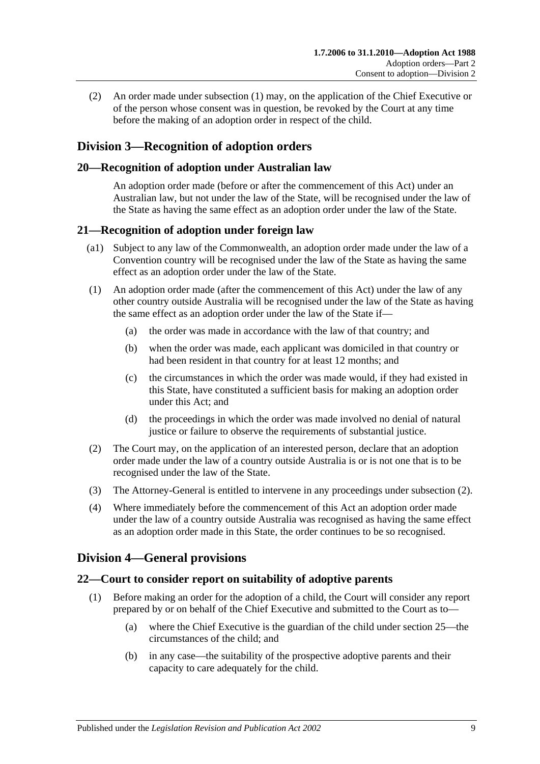(2) An order made under [subsection](#page-7-3) (1) may, on the application of the Chief Executive or of the person whose consent was in question, be revoked by the Court at any time before the making of an adoption order in respect of the child.

# <span id="page-8-0"></span>**Division 3—Recognition of adoption orders**

# <span id="page-8-1"></span>**20—Recognition of adoption under Australian law**

An adoption order made (before or after the commencement of this Act) under an Australian law, but not under the law of the State, will be recognised under the law of the State as having the same effect as an adoption order under the law of the State.

# <span id="page-8-2"></span>**21—Recognition of adoption under foreign law**

- (a1) Subject to any law of the Commonwealth, an adoption order made under the law of a Convention country will be recognised under the law of the State as having the same effect as an adoption order under the law of the State.
- (1) An adoption order made (after the commencement of this Act) under the law of any other country outside Australia will be recognised under the law of the State as having the same effect as an adoption order under the law of the State if—
	- (a) the order was made in accordance with the law of that country; and
	- (b) when the order was made, each applicant was domiciled in that country or had been resident in that country for at least 12 months; and
	- (c) the circumstances in which the order was made would, if they had existed in this State, have constituted a sufficient basis for making an adoption order under this Act; and
	- (d) the proceedings in which the order was made involved no denial of natural justice or failure to observe the requirements of substantial justice.
- <span id="page-8-5"></span>(2) The Court may, on the application of an interested person, declare that an adoption order made under the law of a country outside Australia is or is not one that is to be recognised under the law of the State.
- (3) The Attorney-General is entitled to intervene in any proceedings under [subsection](#page-8-5) (2).
- (4) Where immediately before the commencement of this Act an adoption order made under the law of a country outside Australia was recognised as having the same effect as an adoption order made in this State, the order continues to be so recognised.

# <span id="page-8-3"></span>**Division 4—General provisions**

# <span id="page-8-6"></span><span id="page-8-4"></span>**22—Court to consider report on suitability of adoptive parents**

- (1) Before making an order for the adoption of a child, the Court will consider any report prepared by or on behalf of the Chief Executive and submitted to the Court as to—
	- (a) where the Chief Executive is the guardian of the child under [section](#page-9-2) 25—the circumstances of the child; and
	- (b) in any case—the suitability of the prospective adoptive parents and their capacity to care adequately for the child.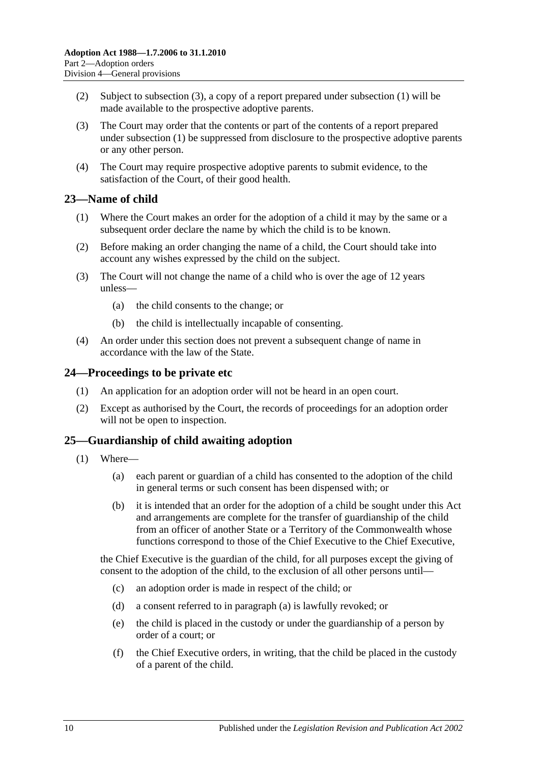- (2) Subject to [subsection](#page-9-3) (3), a copy of a report prepared under [subsection](#page-8-6) (1) will be made available to the prospective adoptive parents.
- <span id="page-9-3"></span>(3) The Court may order that the contents or part of the contents of a report prepared under [subsection](#page-8-6) (1) be suppressed from disclosure to the prospective adoptive parents or any other person.
- (4) The Court may require prospective adoptive parents to submit evidence, to the satisfaction of the Court, of their good health.

# <span id="page-9-0"></span>**23—Name of child**

- (1) Where the Court makes an order for the adoption of a child it may by the same or a subsequent order declare the name by which the child is to be known.
- (2) Before making an order changing the name of a child, the Court should take into account any wishes expressed by the child on the subject.
- (3) The Court will not change the name of a child who is over the age of 12 years unless—
	- (a) the child consents to the change; or
	- (b) the child is intellectually incapable of consenting.
- (4) An order under this section does not prevent a subsequent change of name in accordance with the law of the State.

## <span id="page-9-1"></span>**24—Proceedings to be private etc**

- (1) An application for an adoption order will not be heard in an open court.
- (2) Except as authorised by the Court, the records of proceedings for an adoption order will not be open to inspection.

## <span id="page-9-2"></span>**25—Guardianship of child awaiting adoption**

- <span id="page-9-4"></span>(1) Where—
	- (a) each parent or guardian of a child has consented to the adoption of the child in general terms or such consent has been dispensed with; or
	- (b) it is intended that an order for the adoption of a child be sought under this Act and arrangements are complete for the transfer of guardianship of the child from an officer of another State or a Territory of the Commonwealth whose functions correspond to those of the Chief Executive to the Chief Executive,

the Chief Executive is the guardian of the child, for all purposes except the giving of consent to the adoption of the child, to the exclusion of all other persons until—

- (c) an adoption order is made in respect of the child; or
- (d) a consent referred to in [paragraph](#page-9-4) (a) is lawfully revoked; or
- (e) the child is placed in the custody or under the guardianship of a person by order of a court; or
- (f) the Chief Executive orders, in writing, that the child be placed in the custody of a parent of the child.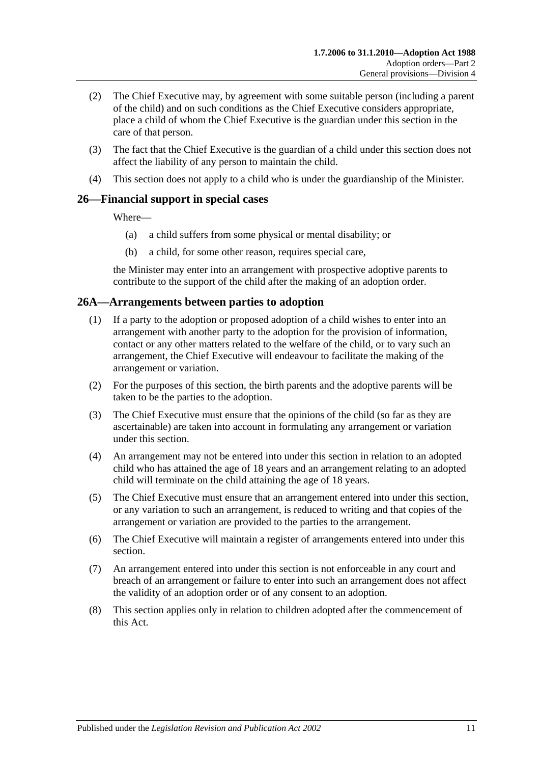- (2) The Chief Executive may, by agreement with some suitable person (including a parent of the child) and on such conditions as the Chief Executive considers appropriate, place a child of whom the Chief Executive is the guardian under this section in the care of that person.
- (3) The fact that the Chief Executive is the guardian of a child under this section does not affect the liability of any person to maintain the child.
- (4) This section does not apply to a child who is under the guardianship of the Minister.

# <span id="page-10-0"></span>**26—Financial support in special cases**

Where—

- (a) a child suffers from some physical or mental disability; or
- (b) a child, for some other reason, requires special care,

the Minister may enter into an arrangement with prospective adoptive parents to contribute to the support of the child after the making of an adoption order.

## <span id="page-10-1"></span>**26A—Arrangements between parties to adoption**

- (1) If a party to the adoption or proposed adoption of a child wishes to enter into an arrangement with another party to the adoption for the provision of information, contact or any other matters related to the welfare of the child, or to vary such an arrangement, the Chief Executive will endeavour to facilitate the making of the arrangement or variation.
- (2) For the purposes of this section, the birth parents and the adoptive parents will be taken to be the parties to the adoption.
- (3) The Chief Executive must ensure that the opinions of the child (so far as they are ascertainable) are taken into account in formulating any arrangement or variation under this section.
- (4) An arrangement may not be entered into under this section in relation to an adopted child who has attained the age of 18 years and an arrangement relating to an adopted child will terminate on the child attaining the age of 18 years.
- (5) The Chief Executive must ensure that an arrangement entered into under this section, or any variation to such an arrangement, is reduced to writing and that copies of the arrangement or variation are provided to the parties to the arrangement.
- (6) The Chief Executive will maintain a register of arrangements entered into under this section.
- (7) An arrangement entered into under this section is not enforceable in any court and breach of an arrangement or failure to enter into such an arrangement does not affect the validity of an adoption order or of any consent to an adoption.
- (8) This section applies only in relation to children adopted after the commencement of this Act.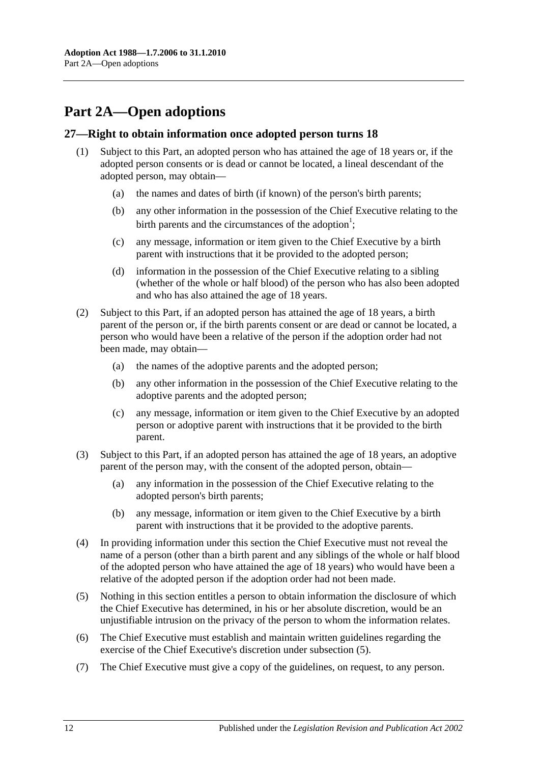# <span id="page-11-0"></span>**Part 2A—Open adoptions**

## <span id="page-11-1"></span>**27—Right to obtain information once adopted person turns 18**

- (1) Subject to this Part, an adopted person who has attained the age of 18 years or, if the adopted person consents or is dead or cannot be located, a lineal descendant of the adopted person, may obtain—
	- (a) the names and dates of birth (if known) of the person's birth parents;
	- (b) any other information in the possession of the Chief Executive relating to the birth parents and the circumstances of the adoption<sup>1</sup>;
	- (c) any message, information or item given to the Chief Executive by a birth parent with instructions that it be provided to the adopted person;
	- (d) information in the possession of the Chief Executive relating to a sibling (whether of the whole or half blood) of the person who has also been adopted and who has also attained the age of 18 years.
- (2) Subject to this Part, if an adopted person has attained the age of 18 years, a birth parent of the person or, if the birth parents consent or are dead or cannot be located, a person who would have been a relative of the person if the adoption order had not been made, may obtain—
	- (a) the names of the adoptive parents and the adopted person;
	- (b) any other information in the possession of the Chief Executive relating to the adoptive parents and the adopted person;
	- (c) any message, information or item given to the Chief Executive by an adopted person or adoptive parent with instructions that it be provided to the birth parent.
- (3) Subject to this Part, if an adopted person has attained the age of 18 years, an adoptive parent of the person may, with the consent of the adopted person, obtain—
	- (a) any information in the possession of the Chief Executive relating to the adopted person's birth parents;
	- (b) any message, information or item given to the Chief Executive by a birth parent with instructions that it be provided to the adoptive parents.
- (4) In providing information under this section the Chief Executive must not reveal the name of a person (other than a birth parent and any siblings of the whole or half blood of the adopted person who have attained the age of 18 years) who would have been a relative of the adopted person if the adoption order had not been made.
- <span id="page-11-2"></span>(5) Nothing in this section entitles a person to obtain information the disclosure of which the Chief Executive has determined, in his or her absolute discretion, would be an unjustifiable intrusion on the privacy of the person to whom the information relates.
- (6) The Chief Executive must establish and maintain written guidelines regarding the exercise of the Chief Executive's discretion under [subsection](#page-11-2) (5).
- (7) The Chief Executive must give a copy of the guidelines, on request, to any person.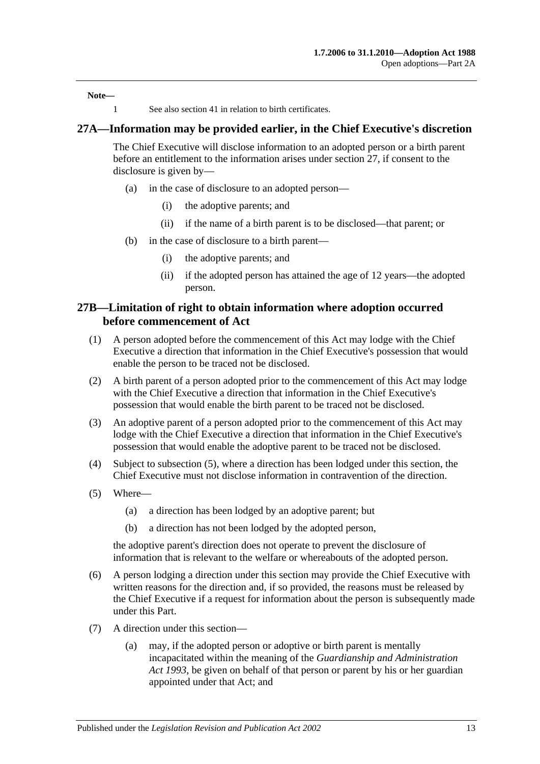**Note—**

1 See also [section](#page-16-1) 41 in relation to birth certificates.

#### <span id="page-12-0"></span>**27A—Information may be provided earlier, in the Chief Executive's discretion**

The Chief Executive will disclose information to an adopted person or a birth parent before an entitlement to the information arises under [section](#page-11-1) 27, if consent to the disclosure is given by—

- (a) in the case of disclosure to an adopted person—
	- (i) the adoptive parents; and
	- (ii) if the name of a birth parent is to be disclosed—that parent; or
- (b) in the case of disclosure to a birth parent—
	- (i) the adoptive parents; and
	- (ii) if the adopted person has attained the age of 12 years—the adopted person.

#### <span id="page-12-1"></span>**27B—Limitation of right to obtain information where adoption occurred before commencement of Act**

- (1) A person adopted before the commencement of this Act may lodge with the Chief Executive a direction that information in the Chief Executive's possession that would enable the person to be traced not be disclosed.
- (2) A birth parent of a person adopted prior to the commencement of this Act may lodge with the Chief Executive a direction that information in the Chief Executive's possession that would enable the birth parent to be traced not be disclosed.
- (3) An adoptive parent of a person adopted prior to the commencement of this Act may lodge with the Chief Executive a direction that information in the Chief Executive's possession that would enable the adoptive parent to be traced not be disclosed.
- (4) Subject to [subsection](#page-12-2) (5), where a direction has been lodged under this section, the Chief Executive must not disclose information in contravention of the direction.
- <span id="page-12-2"></span>(5) Where—
	- (a) a direction has been lodged by an adoptive parent; but
	- (b) a direction has not been lodged by the adopted person,

the adoptive parent's direction does not operate to prevent the disclosure of information that is relevant to the welfare or whereabouts of the adopted person.

- (6) A person lodging a direction under this section may provide the Chief Executive with written reasons for the direction and, if so provided, the reasons must be released by the Chief Executive if a request for information about the person is subsequently made under this Part.
- (7) A direction under this section—
	- (a) may, if the adopted person or adoptive or birth parent is mentally incapacitated within the meaning of the *[Guardianship and Administration](http://www.legislation.sa.gov.au/index.aspx?action=legref&type=act&legtitle=Guardianship%20and%20Administration%20Act%201993)  Act [1993](http://www.legislation.sa.gov.au/index.aspx?action=legref&type=act&legtitle=Guardianship%20and%20Administration%20Act%201993)*, be given on behalf of that person or parent by his or her guardian appointed under that Act; and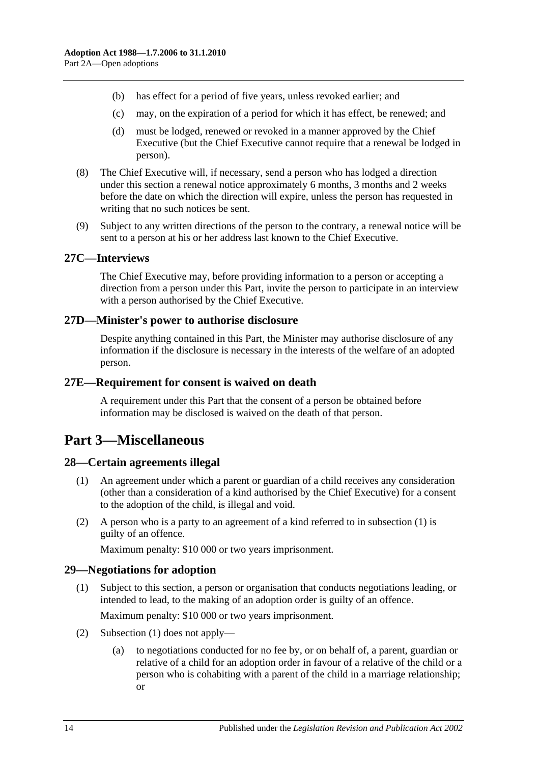- (b) has effect for a period of five years, unless revoked earlier; and
- (c) may, on the expiration of a period for which it has effect, be renewed; and
- (d) must be lodged, renewed or revoked in a manner approved by the Chief Executive (but the Chief Executive cannot require that a renewal be lodged in person).
- (8) The Chief Executive will, if necessary, send a person who has lodged a direction under this section a renewal notice approximately 6 months, 3 months and 2 weeks before the date on which the direction will expire, unless the person has requested in writing that no such notices be sent.
- (9) Subject to any written directions of the person to the contrary, a renewal notice will be sent to a person at his or her address last known to the Chief Executive.

#### <span id="page-13-0"></span>**27C—Interviews**

The Chief Executive may, before providing information to a person or accepting a direction from a person under this Part, invite the person to participate in an interview with a person authorised by the Chief Executive.

#### <span id="page-13-1"></span>**27D—Minister's power to authorise disclosure**

Despite anything contained in this Part, the Minister may authorise disclosure of any information if the disclosure is necessary in the interests of the welfare of an adopted person.

#### <span id="page-13-2"></span>**27E—Requirement for consent is waived on death**

A requirement under this Part that the consent of a person be obtained before information may be disclosed is waived on the death of that person.

# <span id="page-13-3"></span>**Part 3—Miscellaneous**

#### <span id="page-13-6"></span><span id="page-13-4"></span>**28—Certain agreements illegal**

- (1) An agreement under which a parent or guardian of a child receives any consideration (other than a consideration of a kind authorised by the Chief Executive) for a consent to the adoption of the child, is illegal and void.
- (2) A person who is a party to an agreement of a kind referred to in [subsection](#page-13-6) (1) is guilty of an offence.

Maximum penalty: \$10 000 or two years imprisonment.

#### <span id="page-13-7"></span><span id="page-13-5"></span>**29—Negotiations for adoption**

- (1) Subject to this section, a person or organisation that conducts negotiations leading, or intended to lead, to the making of an adoption order is guilty of an offence. Maximum penalty: \$10 000 or two years imprisonment.
- (2) [Subsection](#page-13-7) (1) does not apply—
	- (a) to negotiations conducted for no fee by, or on behalf of, a parent, guardian or relative of a child for an adoption order in favour of a relative of the child or a person who is cohabiting with a parent of the child in a marriage relationship; or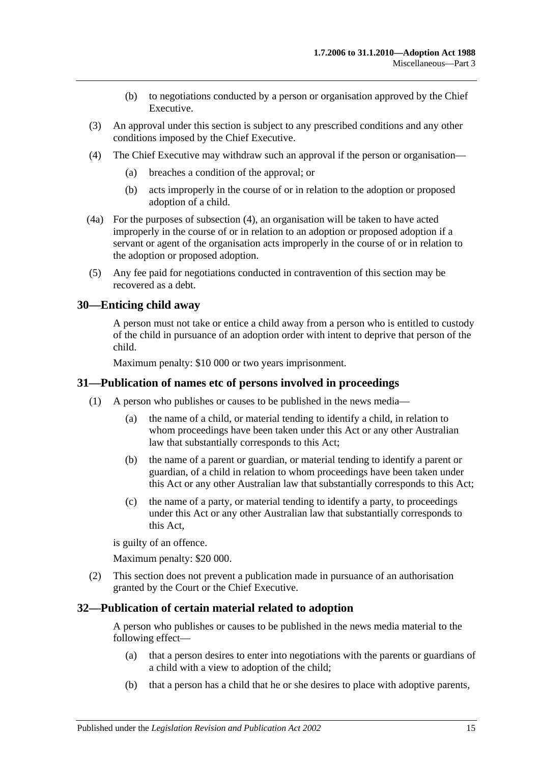- (b) to negotiations conducted by a person or organisation approved by the Chief Executive.
- (3) An approval under this section is subject to any prescribed conditions and any other conditions imposed by the Chief Executive.
- <span id="page-14-3"></span>(4) The Chief Executive may withdraw such an approval if the person or organisation—
	- (a) breaches a condition of the approval; or
	- (b) acts improperly in the course of or in relation to the adoption or proposed adoption of a child.
- (4a) For the purposes of [subsection](#page-14-3) (4), an organisation will be taken to have acted improperly in the course of or in relation to an adoption or proposed adoption if a servant or agent of the organisation acts improperly in the course of or in relation to the adoption or proposed adoption.
- (5) Any fee paid for negotiations conducted in contravention of this section may be recovered as a debt.

## <span id="page-14-0"></span>**30—Enticing child away**

A person must not take or entice a child away from a person who is entitled to custody of the child in pursuance of an adoption order with intent to deprive that person of the child.

Maximum penalty: \$10 000 or two years imprisonment.

#### <span id="page-14-1"></span>**31—Publication of names etc of persons involved in proceedings**

- (1) A person who publishes or causes to be published in the news media—
	- (a) the name of a child, or material tending to identify a child, in relation to whom proceedings have been taken under this Act or any other Australian law that substantially corresponds to this Act;
	- (b) the name of a parent or guardian, or material tending to identify a parent or guardian, of a child in relation to whom proceedings have been taken under this Act or any other Australian law that substantially corresponds to this Act;
	- (c) the name of a party, or material tending to identify a party, to proceedings under this Act or any other Australian law that substantially corresponds to this Act,

is guilty of an offence.

Maximum penalty: \$20 000.

(2) This section does not prevent a publication made in pursuance of an authorisation granted by the Court or the Chief Executive.

#### <span id="page-14-2"></span>**32—Publication of certain material related to adoption**

A person who publishes or causes to be published in the news media material to the following effect—

- (a) that a person desires to enter into negotiations with the parents or guardians of a child with a view to adoption of the child;
- (b) that a person has a child that he or she desires to place with adoptive parents,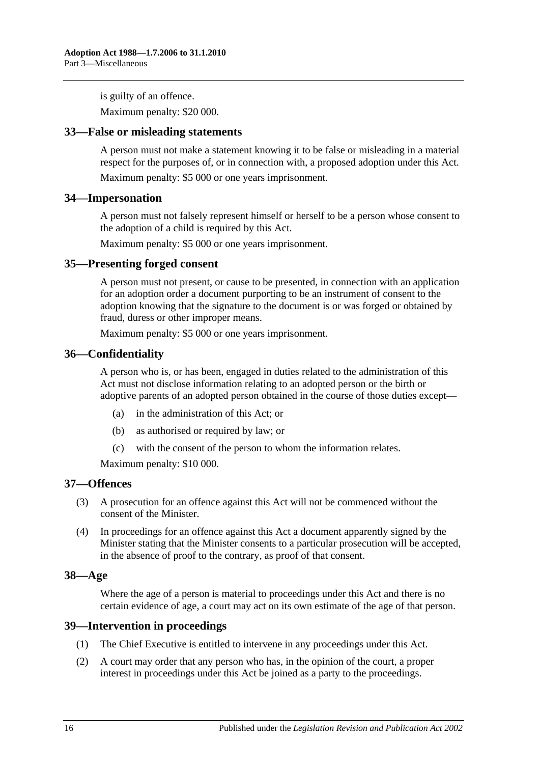is guilty of an offence.

Maximum penalty: \$20 000.

#### <span id="page-15-0"></span>**33—False or misleading statements**

A person must not make a statement knowing it to be false or misleading in a material respect for the purposes of, or in connection with, a proposed adoption under this Act.

Maximum penalty: \$5 000 or one years imprisonment.

#### <span id="page-15-1"></span>**34—Impersonation**

A person must not falsely represent himself or herself to be a person whose consent to the adoption of a child is required by this Act.

Maximum penalty: \$5 000 or one years imprisonment.

#### <span id="page-15-2"></span>**35—Presenting forged consent**

A person must not present, or cause to be presented, in connection with an application for an adoption order a document purporting to be an instrument of consent to the adoption knowing that the signature to the document is or was forged or obtained by fraud, duress or other improper means.

Maximum penalty: \$5 000 or one years imprisonment.

#### <span id="page-15-3"></span>**36—Confidentiality**

A person who is, or has been, engaged in duties related to the administration of this Act must not disclose information relating to an adopted person or the birth or adoptive parents of an adopted person obtained in the course of those duties except—

- (a) in the administration of this Act; or
- (b) as authorised or required by law; or
- (c) with the consent of the person to whom the information relates.

Maximum penalty: \$10 000.

#### <span id="page-15-4"></span>**37—Offences**

- (3) A prosecution for an offence against this Act will not be commenced without the consent of the Minister.
- (4) In proceedings for an offence against this Act a document apparently signed by the Minister stating that the Minister consents to a particular prosecution will be accepted, in the absence of proof to the contrary, as proof of that consent.

#### <span id="page-15-5"></span>**38—Age**

Where the age of a person is material to proceedings under this Act and there is no certain evidence of age, a court may act on its own estimate of the age of that person.

#### <span id="page-15-6"></span>**39—Intervention in proceedings**

- (1) The Chief Executive is entitled to intervene in any proceedings under this Act.
- (2) A court may order that any person who has, in the opinion of the court, a proper interest in proceedings under this Act be joined as a party to the proceedings.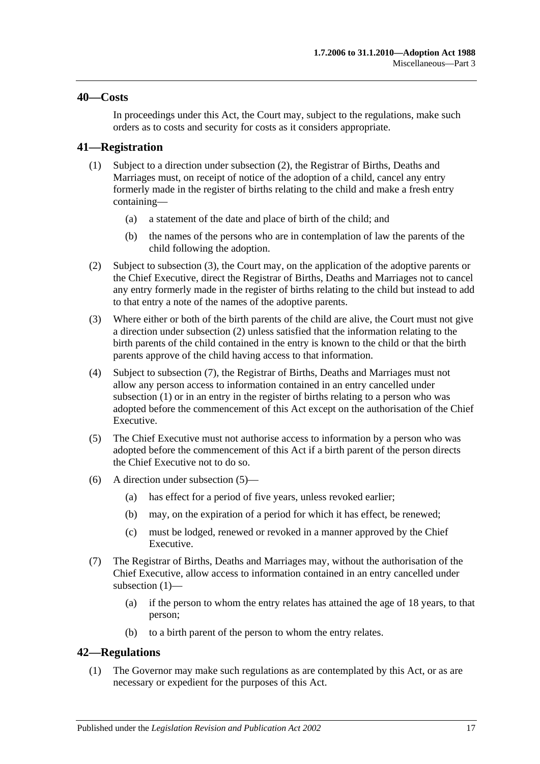#### <span id="page-16-0"></span>**40—Costs**

In proceedings under this Act, the Court may, subject to the regulations, make such orders as to costs and security for costs as it considers appropriate.

## <span id="page-16-6"></span><span id="page-16-1"></span>**41—Registration**

- (1) Subject to a direction under [subsection](#page-16-3) (2), the Registrar of Births, Deaths and Marriages must, on receipt of notice of the adoption of a child, cancel any entry formerly made in the register of births relating to the child and make a fresh entry containing—
	- (a) a statement of the date and place of birth of the child; and
	- (b) the names of the persons who are in contemplation of law the parents of the child following the adoption.
- <span id="page-16-3"></span>(2) Subject to [subsection](#page-16-4) (3), the Court may, on the application of the adoptive parents or the Chief Executive, direct the Registrar of Births, Deaths and Marriages not to cancel any entry formerly made in the register of births relating to the child but instead to add to that entry a note of the names of the adoptive parents.
- <span id="page-16-4"></span>(3) Where either or both of the birth parents of the child are alive, the Court must not give a direction under [subsection](#page-16-3) (2) unless satisfied that the information relating to the birth parents of the child contained in the entry is known to the child or that the birth parents approve of the child having access to that information.
- (4) Subject to [subsection](#page-16-5) (7), the Registrar of Births, Deaths and Marriages must not allow any person access to information contained in an entry cancelled under [subsection](#page-16-6) (1) or in an entry in the register of births relating to a person who was adopted before the commencement of this Act except on the authorisation of the Chief Executive.
- <span id="page-16-7"></span>(5) The Chief Executive must not authorise access to information by a person who was adopted before the commencement of this Act if a birth parent of the person directs the Chief Executive not to do so.
- (6) A direction under [subsection](#page-16-7) (5)—
	- (a) has effect for a period of five years, unless revoked earlier;
	- (b) may, on the expiration of a period for which it has effect, be renewed;
	- (c) must be lodged, renewed or revoked in a manner approved by the Chief Executive.
- <span id="page-16-5"></span>(7) The Registrar of Births, Deaths and Marriages may, without the authorisation of the Chief Executive, allow access to information contained in an entry cancelled under [subsection](#page-16-6) (1)—
	- (a) if the person to whom the entry relates has attained the age of 18 years, to that person;
	- (b) to a birth parent of the person to whom the entry relates.

## <span id="page-16-2"></span>**42—Regulations**

(1) The Governor may make such regulations as are contemplated by this Act, or as are necessary or expedient for the purposes of this Act.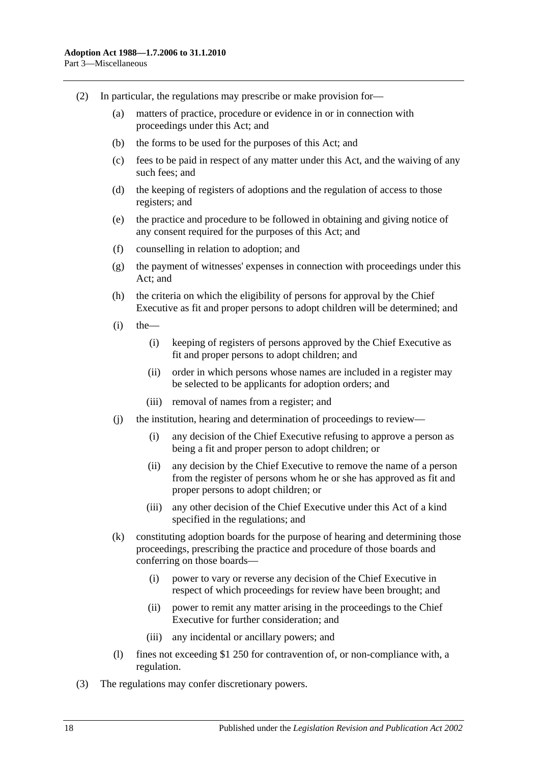- (2) In particular, the regulations may prescribe or make provision for—
	- (a) matters of practice, procedure or evidence in or in connection with proceedings under this Act; and
	- (b) the forms to be used for the purposes of this Act; and
	- (c) fees to be paid in respect of any matter under this Act, and the waiving of any such fees; and
	- (d) the keeping of registers of adoptions and the regulation of access to those registers; and
	- (e) the practice and procedure to be followed in obtaining and giving notice of any consent required for the purposes of this Act; and
	- (f) counselling in relation to adoption; and
	- (g) the payment of witnesses' expenses in connection with proceedings under this Act; and
	- (h) the criteria on which the eligibility of persons for approval by the Chief Executive as fit and proper persons to adopt children will be determined; and
	- $(i)$  the
		- (i) keeping of registers of persons approved by the Chief Executive as fit and proper persons to adopt children; and
		- (ii) order in which persons whose names are included in a register may be selected to be applicants for adoption orders; and
		- (iii) removal of names from a register; and
	- (j) the institution, hearing and determination of proceedings to review—
		- (i) any decision of the Chief Executive refusing to approve a person as being a fit and proper person to adopt children; or
		- (ii) any decision by the Chief Executive to remove the name of a person from the register of persons whom he or she has approved as fit and proper persons to adopt children; or
		- (iii) any other decision of the Chief Executive under this Act of a kind specified in the regulations; and
	- (k) constituting adoption boards for the purpose of hearing and determining those proceedings, prescribing the practice and procedure of those boards and conferring on those boards—
		- (i) power to vary or reverse any decision of the Chief Executive in respect of which proceedings for review have been brought; and
		- (ii) power to remit any matter arising in the proceedings to the Chief Executive for further consideration; and
		- (iii) any incidental or ancillary powers; and
	- (l) fines not exceeding \$1 250 for contravention of, or non-compliance with, a regulation.
- (3) The regulations may confer discretionary powers.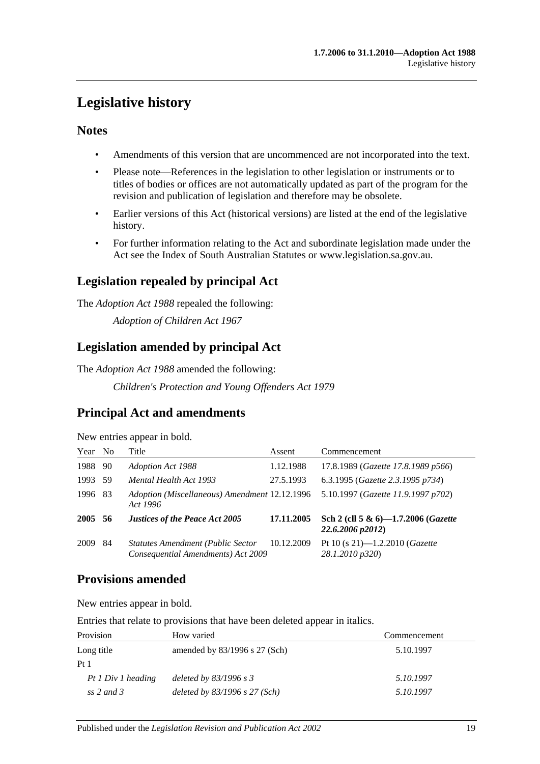# <span id="page-18-0"></span>**Legislative history**

# **Notes**

- Amendments of this version that are uncommenced are not incorporated into the text.
- Please note—References in the legislation to other legislation or instruments or to titles of bodies or offices are not automatically updated as part of the program for the revision and publication of legislation and therefore may be obsolete.
- Earlier versions of this Act (historical versions) are listed at the end of the legislative history.
- For further information relating to the Act and subordinate legislation made under the Act see the Index of South Australian Statutes or www.legislation.sa.gov.au.

# **Legislation repealed by principal Act**

The *Adoption Act 1988* repealed the following:

*Adoption of Children Act 1967*

# **Legislation amended by principal Act**

The *Adoption Act 1988* amended the following:

*Children's Protection and Young Offenders Act 1979*

# **Principal Act and amendments**

New entries appear in bold.

| Year No |     | Title                                                                          | Assent     | Commencement                                            |
|---------|-----|--------------------------------------------------------------------------------|------------|---------------------------------------------------------|
| 1988    | 90  | <b>Adoption Act 1988</b>                                                       | 1.12.1988  | 17.8.1989 (Gazette 17.8.1989 p566)                      |
| 1993    | -59 | Mental Health Act 1993                                                         | 27.5.1993  | 6.3.1995 (Gazette 2.3.1995 p734)                        |
| 1996    | -83 | Adoption (Miscellaneous) Amendment 12.12.1996<br>Act 1996                      |            | 5.10.1997 (Gazette 11.9.1997 p702)                      |
| 2005 56 |     | <b>Justices of the Peace Act 2005</b>                                          | 17.11.2005 | Sch 2 (cll 5 & 6)-1.7.2006 (Gazette<br>22.6.2006 p2012) |
| 2009    | 84  | <b>Statutes Amendment (Public Sector</b><br>Consequential Amendments) Act 2009 | 10.12.2009 | Pt 10 (s 21)-1.2.2010 (Gazette<br>28.1.2010 p320)       |

# **Provisions amended**

New entries appear in bold.

Entries that relate to provisions that have been deleted appear in italics.

| Provision          | How varied                      | Commencement |
|--------------------|---------------------------------|--------------|
| Long title         | amended by $83/1996$ s 27 (Sch) | 5.10.1997    |
| Pt <sub>1</sub>    |                                 |              |
| Pt 1 Div 1 heading | deleted by $83/1996$ s 3        | 5.10.1997    |
| $ss$ 2 and 3       | deleted by $83/1996$ s 27 (Sch) | 5.10.1997    |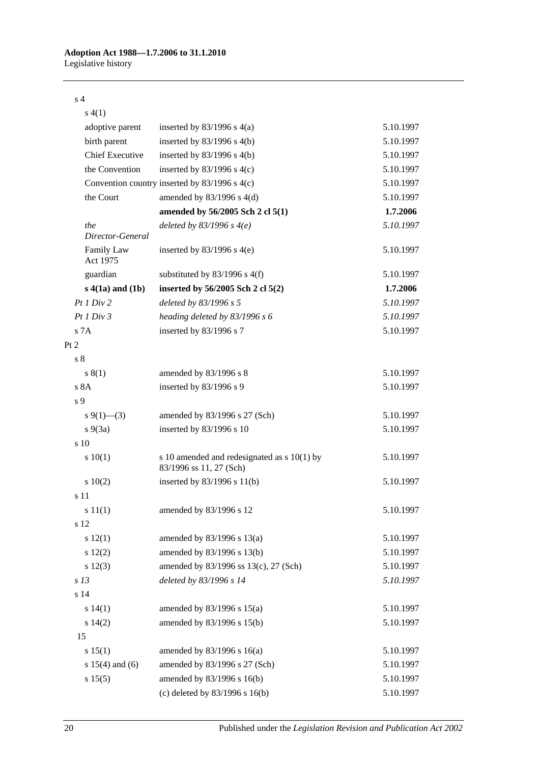#### s 4

| s(4(1)                  |                                                                        |           |
|-------------------------|------------------------------------------------------------------------|-----------|
| adoptive parent         | inserted by $83/1996$ s $4(a)$                                         | 5.10.1997 |
| birth parent            | inserted by $83/1996$ s 4(b)                                           | 5.10.1997 |
| <b>Chief Executive</b>  | inserted by $83/1996$ s 4(b)                                           | 5.10.1997 |
| the Convention          | inserted by $83/1996$ s $4(c)$                                         | 5.10.1997 |
|                         | Convention country inserted by 83/1996 s 4(c)                          | 5.10.1997 |
| the Court               | amended by $83/1996$ s $4(d)$                                          | 5.10.1997 |
|                         | amended by 56/2005 Sch 2 cl 5(1)                                       | 1.7.2006  |
| the<br>Director-General | deleted by $83/1996$ s $4(e)$                                          | 5.10.1997 |
| Family Law<br>Act 1975  | inserted by $83/1996$ s $4(e)$                                         | 5.10.1997 |
| guardian                | substituted by $83/1996$ s $4(f)$                                      | 5.10.1997 |
| $s$ 4(1a) and (1b)      | inserted by 56/2005 Sch 2 cl 5(2)                                      | 1.7.2006  |
| Pt1 Div2                | deleted by 83/1996 s 5                                                 | 5.10.1997 |
| Pt1 Div3                | heading deleted by 83/1996 s 6                                         | 5.10.1997 |
| s 7A                    | inserted by 83/1996 s 7                                                | 5.10.1997 |
| Pt 2                    |                                                                        |           |
| s <sub>8</sub>          |                                                                        |           |
| s(1)                    | amended by $83/1996$ s $8$                                             | 5.10.1997 |
| s 8A                    | inserted by 83/1996 s 9                                                | 5.10.1997 |
| s 9                     |                                                                        |           |
| $s \ 9(1)$ (3)          | amended by 83/1996 s 27 (Sch)                                          | 5.10.1997 |
| $s\ 9(3a)$              | inserted by 83/1996 s 10                                               | 5.10.1997 |
| s 10                    |                                                                        |           |
| 10(1)                   | s 10 amended and redesignated as s 10(1) by<br>83/1996 ss 11, 27 (Sch) | 5.10.1997 |
| 10(2)                   | inserted by $83/1996$ s $11(b)$                                        | 5.10.1997 |
| s 11                    |                                                                        |           |
| s 11(1)                 | amended by 83/1996 s 12                                                | 5.10.1997 |
| s 12                    |                                                                        |           |
| s 12(1)                 | amended by 83/1996 s 13(a)                                             | 5.10.1997 |
| 12(2)                   | amended by 83/1996 s 13(b)                                             | 5.10.1997 |
| s 12(3)                 | amended by 83/1996 ss 13(c), 27 (Sch)                                  | 5.10.1997 |
| s <sub>13</sub>         | deleted by 83/1996 s 14                                                | 5.10.1997 |
| s 14                    |                                                                        |           |
| s 14(1)                 | amended by $83/1996$ s $15(a)$                                         | 5.10.1997 |
| s 14(2)                 | amended by 83/1996 s 15(b)                                             | 5.10.1997 |
| 15                      |                                                                        |           |
| s 15(1)                 | amended by $83/1996$ s $16(a)$                                         | 5.10.1997 |
| s $15(4)$ and $(6)$     | amended by 83/1996 s 27 (Sch)                                          | 5.10.1997 |
| s 15(5)                 | amended by 83/1996 s 16(b)                                             | 5.10.1997 |
|                         | (c) deleted by $83/1996$ s $16(b)$                                     | 5.10.1997 |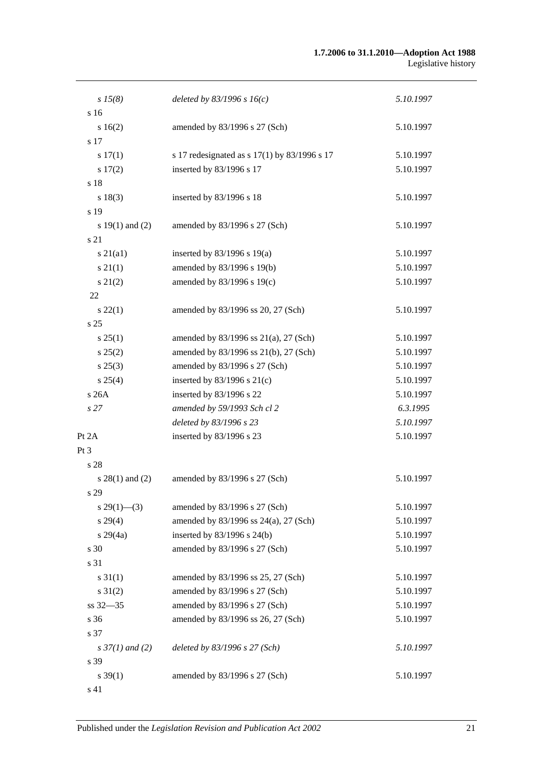#### **1.7.2006 to 31.1.2010—Adoption Act 1988** Legislative history

| $s\,15(8)$               | deleted by $83/1996 s 16(c)$                 | 5.10.1997 |
|--------------------------|----------------------------------------------|-----------|
| s <sub>16</sub>          |                                              |           |
| s 16(2)                  | amended by 83/1996 s 27 (Sch)                | 5.10.1997 |
| s 17                     |                                              |           |
| s 17(1)                  | s 17 redesignated as s 17(1) by 83/1996 s 17 | 5.10.1997 |
| 17(2)                    | inserted by 83/1996 s 17                     | 5.10.1997 |
| s 18                     |                                              |           |
| s 18(3)                  | inserted by 83/1996 s 18                     | 5.10.1997 |
| s 19                     |                                              |           |
| s $19(1)$ and $(2)$      | amended by 83/1996 s 27 (Sch)                | 5.10.1997 |
| s 21                     |                                              |           |
| $s\ 21(a1)$              | inserted by $83/1996$ s $19(a)$              | 5.10.1997 |
| $s \, 21(1)$             | amended by 83/1996 s 19(b)                   | 5.10.1997 |
| $s\ 21(2)$               | amended by 83/1996 s 19(c)                   | 5.10.1997 |
| 22                       |                                              |           |
| $s\,22(1)$               | amended by 83/1996 ss 20, 27 (Sch)           | 5.10.1997 |
| s <sub>25</sub>          |                                              |           |
| s 25(1)                  | amended by 83/1996 ss 21(a), 27 (Sch)        | 5.10.1997 |
| s 25(2)                  | amended by 83/1996 ss 21(b), 27 (Sch)        | 5.10.1997 |
| $s\,25(3)$               | amended by 83/1996 s 27 (Sch)                | 5.10.1997 |
| s 25(4)                  | inserted by $83/1996$ s $21(c)$              | 5.10.1997 |
| s 26A                    | inserted by 83/1996 s 22                     | 5.10.1997 |
| s <sub>27</sub>          | amended by 59/1993 Sch cl 2                  | 6.3.1995  |
|                          | deleted by 83/1996 s 23                      | 5.10.1997 |
| Pt 2A                    | inserted by 83/1996 s 23                     | 5.10.1997 |
| Pt 3                     |                                              |           |
| s 28                     |                                              |           |
| $s$ 28(1) and (2)        | amended by 83/1996 s 27 (Sch)                | 5.10.1997 |
| s 29                     |                                              |           |
| $s\,29(1)$ —(3)          | amended by 83/1996 s 27 (Sch)                | 5.10.1997 |
| $s\,29(4)$               | amended by 83/1996 ss 24(a), 27 (Sch)        | 5.10.1997 |
| $s\,29(4a)$              | inserted by $83/1996$ s $24(b)$              | 5.10.1997 |
| s 30                     | amended by 83/1996 s 27 (Sch)                | 5.10.1997 |
| s 31                     |                                              |           |
| $s \, 31(1)$             | amended by 83/1996 ss 25, 27 (Sch)           | 5.10.1997 |
| $s \, 31(2)$             | amended by 83/1996 s 27 (Sch)                | 5.10.1997 |
| ss 32-35                 | amended by 83/1996 s 27 (Sch)                | 5.10.1997 |
| s 36                     | amended by 83/1996 ss 26, 27 (Sch)           | 5.10.1997 |
| s 37                     |                                              |           |
| $s \frac{37}{1}$ and (2) | deleted by 83/1996 s 27 (Sch)                | 5.10.1997 |
| s 39                     |                                              |           |
| $s \, 39(1)$             | amended by 83/1996 s 27 (Sch)                | 5.10.1997 |
| s 41                     |                                              |           |